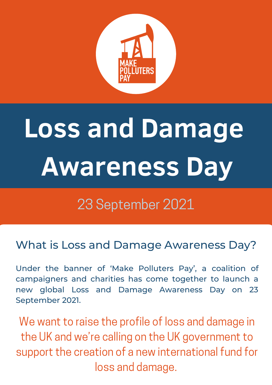

# **Loss and Damage Awareness Day**

# 23 September 2021

What is Loss and Damage Awareness Day?

Under the banner of 'Make [Polluters](http://www.makepolluterspay.co.uk/) Pay' , a coalition of campaigners and charities has come together to launch a new global Loss and Damage Awareness Day on 23 September 2021.

We want to raise the profile of loss and damage in the UK and we're calling on the UK government to support the creation of a new international fund for loss and damage.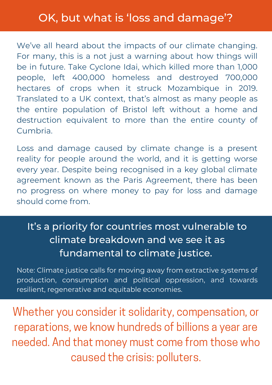We've all heard about the impacts of our climate changing. For many, this is a not just a warning about how things will be in future. Take Cyclone Idai, which killed more than 1,000 people, left 400,000 homeless and destroyed 700,000 hectares of crops when it struck Mozambique in 2019. Translated to a UK context, that's almost as many people as the entire population of Bristol left without a home and destruction equivalent to more than the entire county of Cumbria.

Loss and damage caused by climate change is a present reality for people around the world, and it is getting worse every year. Despite being recognised in a key global climate agreement known as the Paris Agreement, there has been no progress on where money to pay for loss and damage should come from.

### It's a priority for countries most vulnerable to climate breakdown and we see it as fundamental to climate justice.

Note: Climate justice calls for moving away from extractive systems of production, consumption and political oppression, and towards resilient, regenerative and equitable economies.

Whether you consider it solidarity, compensation, or reparations, we know hundreds of billions a year are needed. And that money must come from those who caused the crisis: polluters.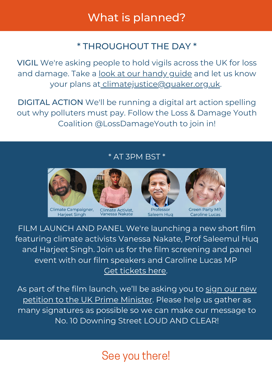## What is planned?

#### \* THROUGHOUT THE DAY \*

VIGIL We're asking people to hold vigils across the UK for loss and damage. Take a <u>look at our [handy](https://www.quaker.org.uk/documents/loss-damage-awareness-vigil-guide) guide</u> and let us know your plans at [climatejustice@quaker.org.uk.](mailto:climatejustice@quaker.org.uk)

DIGITAL ACTION We'll be running a digital art action spelling out why polluters must pay. Follow the Loss & Damage Youth Coalition @LossDamageYouth to join in!

#### \* AT 3PM BST \*



Climate Campaigner. **Harjeet Singh** 



Climate Activist,<br>Vanessa Nakate





FILM LAUNCH AND PANEL We're launching a new short film featuring climate activists Vanessa Nakate, Prof Saleemul Huq and Harjeet Singh. Join us for the film screening and panel event with our film speakers and Caroline Lucas MP Get [tickets](https://actionnetwork.org/events/loss-damage-and-cop26-film-launch-and-panel-event?source=direct_link&) here.

As part of the film launch, we'll be asking you to sign our new petition to the UK Prime [Minister.](https://makepolluterspay.co.uk/sign-the-petition) Please help us gather as many signatures as possible so we can make our message to No. 10 Downing Street LOUD AND CLEAR!

# See you there!